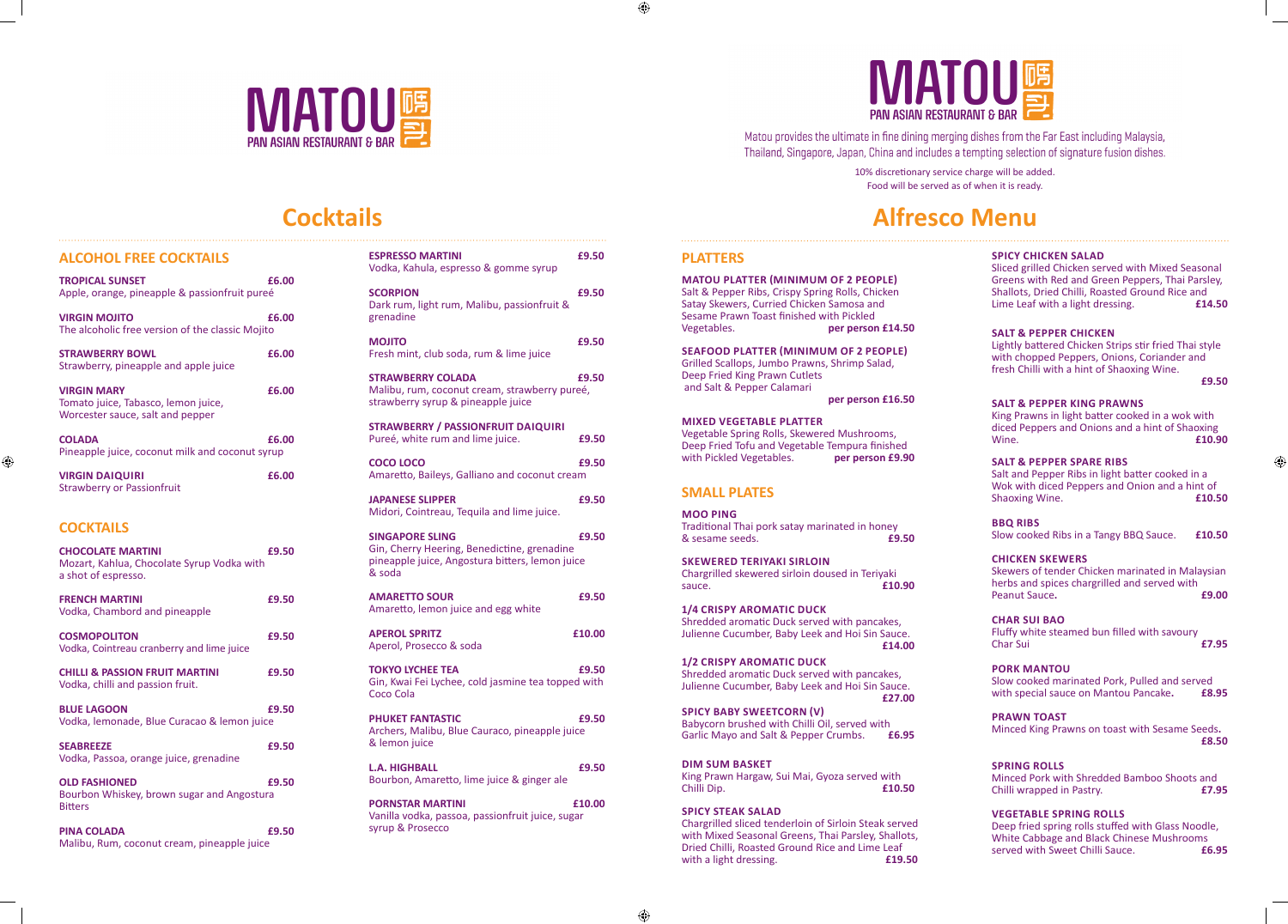# **Alfresco Menu**

#### **PLATTERS**

 $\bigoplus$ 

Vegetable Spring Rolls, Skewered Mushrooms, Deep Fried Tofu and Vegetable Tempura finished<br>with Pickled Vegetables. **per person £9.90** with Pickled Vegetables.

**MATOU PLATTER (MINIMUM OF 2 PEOPLE)** Salt & Pepper Ribs, Crispy Spring Rolls, Chicken Satay Skewers, Curried Chicken Samosa and Sesame Prawn Toast finished with Pickled<br>Vegetables.<br>**per persor** per person £14.50 **SEAFOOD PLATTER (MINIMUM OF 2 PEOPLE)** Grilled Scallops, Jumbo Prawns, Shrimp Salad, Deep Fried King Prawn Cutlets and Salt & Pepper Calamari **per person £16.50 MIXED VEGETABLE PLATTER**

**MOO PING** Traditional Thai pork satay marinated in honey<br>& sesame seeds.  $&$  sesame seeds.

#### **SMALL PLATES**

Chargrilled sliced tenderloin of Sirloin Steak served with Mixed Seasonal Greens, Thai Parsley, Shallots, Dried Chilli, Roasted Ground Rice and Lime Leaf<br>with a light dressing. **E19.50** with a light dressing.



**SKEWERED TERIYAKI SIRLOIN** Chargrilled skewered sirloin doused in Teriyaki<br>sauce. **£10** sauce. **£10.90**

**1/4 CRISPY AROMATIC DUCK** Shredded aromatic Duck served with pancakes, Julienne Cucumber, Baby Leek and Hoi Sin Sauce. **£14.00**

**1/2 CRISPY AROMATIC DUCK** Shredded aromatic Duck served with pancakes, Julienne Cucumber, Baby Leek and Hoi Sin Sauce. **£27.00**

**SPICY BABY SWEETCORN (V)**  Babycorn brushed with Chilli Oil, served with<br>Garlic Mayo and Salt & Pepper Crumbs. **£6.95** Garlic Mayo and Salt & Pepper Crumbs. **£6.95** 

**DIM SUM BASKET** King Prawn Hargaw, Sui Mai, Gyoza served with<br>Chilli Dip. **E10.50** Chilli Dip. **£10.50**

#### **SPICY STEAK SALAD**

| <b>SPICY CHICKEN SALAD</b><br>Sliced grilled Chicken served with Mixed Seasonal<br>Greens with Red and Green Peppers, Thai Parsley,<br>Shallots, Dried Chilli, Roasted Ground Rice and<br>Lime Leaf with a light dressing. | £14.50 |
|----------------------------------------------------------------------------------------------------------------------------------------------------------------------------------------------------------------------------|--------|
| <b>SALT &amp; PEPPER CHICKEN</b><br>Lightly battered Chicken Strips stir fried Thai style<br>with chopped Peppers, Onions, Coriander and<br>fresh Chilli with a hint of Shaoxing Wine.                                     | £9.50  |
| <b>SALT &amp; PEPPER KING PRAWNS</b><br>King Prawns in light batter cooked in a wok with<br>diced Peppers and Onions and a hint of Shaoxing<br>Wine.                                                                       | £10.90 |
| <b>SALT &amp; PEPPER SPARE RIBS</b><br>Salt and Pepper Ribs in light batter cooked in a<br>Wok with diced Peppers and Onion and a hint of<br>Shaoxing Wine.                                                                | £10.50 |
| <b>BBQ RIBS</b><br>Slow cooked Ribs in a Tangy BBQ Sauce.                                                                                                                                                                  | £10.50 |
| <b>CHICKEN SKEWERS</b><br>Skewers of tender Chicken marinated in Malaysian<br>herbs and spices chargrilled and served with<br>Peanut Sauce.                                                                                | £9.00  |
| <b>CHAR SUI BAO</b><br>Fluffy white steamed bun filled with savoury<br><b>Char Sui</b>                                                                                                                                     | £7.95  |
| <b>PORK MANTOU</b><br>Slow cooked marinated Pork, Pulled and served<br>with special sauce on Mantou Pancake.                                                                                                               | £8.95  |
| <b>PRAWN TOAST</b><br>Minced King Prawns on toast with Sesame Seeds.                                                                                                                                                       | £8.50  |
| <b>SPRING ROLLS</b><br>Minced Pork with Shredded Bamboo Shoots and<br>Chilli wrapped in Pastry.                                                                                                                            | £7.95  |
| <b>VEGETABLE SPRING ROLLS</b><br>Deep fried spring rolls stuffed with Glass Noodle,<br>White Cabbage and Black Chinese Mushrooms<br>served with Sweet Chilli Sauce.                                                        | £6.95  |

⊕

#### **ALCOHOL FREE COCKTAILS**

 $\bigoplus$ 

| <b>TROPICAL SUNSET</b><br>Apple, orange, pineapple & passionfruit pureé                       | £6.00 |
|-----------------------------------------------------------------------------------------------|-------|
| <b>VIRGIN MOJITO</b><br>The alcoholic free version of the classic Mojito                      | £6.00 |
| <b>STRAWBERRY BOWL</b><br>Strawberry, pineapple and apple juice                               | £6.00 |
| <b>VIRGIN MARY</b><br>Tomato juice, Tabasco, lemon juice,<br>Worcester sauce, salt and pepper | £6.00 |
| <b>COLADA</b><br>Pineapple juice, coconut milk and coconut syrup                              | £6.00 |
| <b>VIRGIN DAIQUIRI</b><br><b>Strawberry or Passionfruit</b>                                   | £6.00 |
| <b>COCKTAILS</b>                                                                              |       |
| <b>CHOCOLATE MARTINI</b><br>Mozart, Kahlua, Chocolate Syrup Vodka with<br>a shot of espresso. | £9.50 |
| <b>FRENCH MARTINI</b><br>Vodka, Chambord and pineapple                                        | £9.50 |
| <b>COSMOPOLITON</b><br>Vodka, Cointreau cranberry and lime juice                              | £9.50 |
| <b>CHILLI &amp; PASSION FRUIT MARTINI</b><br>Vodka, chilli and passion fruit.                 | £9.50 |
| <b>BLUE LAGOON</b><br>Vodka, lemonade, Blue Curacao & lemon juice                             | £9.50 |
| <b>SEABREEZE</b><br>Vodka, Passoa, orange juice, grenadine                                    | £9.50 |
| <b>OLD FASHIONED</b><br>Bourbon Whiskey, brown sugar and Angostura<br><b>Bitters</b>          | £9.50 |
| <b>PINA COLADA</b><br>Malibu, Rum, coconut cream, pineapple juice                             | £9.50 |

| <b>ESPRESSO MARTINI</b><br>Vodka, Kahula, espresso & gomme syrup                                                                   | £9.50  |
|------------------------------------------------------------------------------------------------------------------------------------|--------|
| <b>SCORPION</b><br>Dark rum, light rum, Malibu, passionfruit &<br>grenadine                                                        | £9.50  |
| <b>MOJITO</b><br>Fresh mint, club soda, rum & lime juice                                                                           | £9.50  |
| <b>STRAWBERRY COLADA</b><br>Malibu, rum, coconut cream, strawberry pureé,<br>strawberry syrup & pineapple juice                    | £9.50  |
| <b>STRAWBERRY / PASSIONFRUIT DAIQUIRI</b><br>Pureé, white rum and lime juice.                                                      | £9.50  |
| <b>COCO LOCO</b><br>Amaretto, Baileys, Galliano and coconut cream                                                                  | £9.50  |
| <b>JAPANESE SLIPPER</b><br>Midori, Cointreau, Tequila and lime juice.                                                              | £9.50  |
| <b>SINGAPORE SLING</b><br>Gin, Cherry Heering, Benedictine, grenadine<br>pineapple juice, Angostura bitters, lemon juice<br>& soda | £9.50  |
| <b>AMARETTO SOUR</b><br>Amaretto, lemon juice and egg white                                                                        | £9.50  |
| <b>APEROL SPRITZ</b><br>Aperol, Prosecco & soda                                                                                    | £10.00 |
| <b>TOKYO LYCHEE TEA</b><br>Gin, Kwai Fei Lychee, cold jasmine tea topped with<br>Coco Cola                                         | £9.50  |
| <b>PHUKET FANTASTIC</b><br>Archers, Malibu, Blue Cauraco, pineapple juice<br>& lemon juice                                         | £9.50  |
| <b>L.A. HIGHBALL</b><br>Bourbon, Amaretto, lime juice & ginger ale                                                                 | £9.50  |
| <b>PORNSTAR MARTINI</b><br>Vanilla vodka, passoa, passionfruit juice, sugar<br>syrup & Prosecco                                    | £10.00 |



Matou provides the ultimate in fine dining merging dishes from the Far East including Malaysia, Thailand, Singapore, Japan, China and includes a tempting selection of signature fusion dishes.



# **Cocktails**

10% discretionary service charge will be added. Food will be served as of when it is ready.